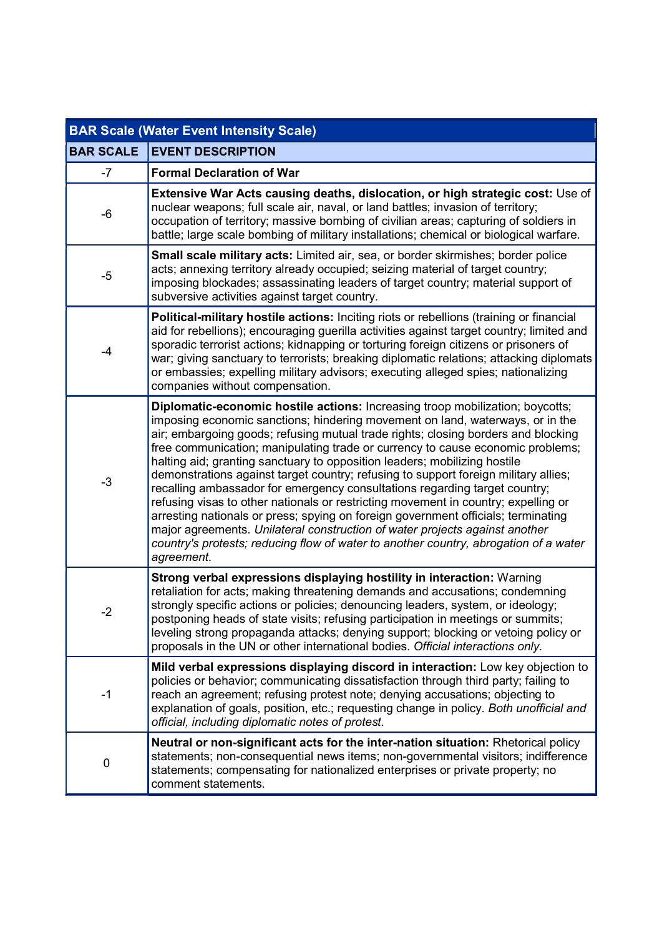| <b>BAR Scale (Water Event Intensity Scale)</b> |                                                                                                                                                                                                                                                                                                                                                                                                                                                                                                                                                                                                                                                                                                                                                                                                                                                                                                                                                         |
|------------------------------------------------|---------------------------------------------------------------------------------------------------------------------------------------------------------------------------------------------------------------------------------------------------------------------------------------------------------------------------------------------------------------------------------------------------------------------------------------------------------------------------------------------------------------------------------------------------------------------------------------------------------------------------------------------------------------------------------------------------------------------------------------------------------------------------------------------------------------------------------------------------------------------------------------------------------------------------------------------------------|
| <b>BAR SCALE</b>                               | <b>EVENT DESCRIPTION</b>                                                                                                                                                                                                                                                                                                                                                                                                                                                                                                                                                                                                                                                                                                                                                                                                                                                                                                                                |
| $-7$                                           | <b>Formal Declaration of War</b>                                                                                                                                                                                                                                                                                                                                                                                                                                                                                                                                                                                                                                                                                                                                                                                                                                                                                                                        |
| $-6$                                           | Extensive War Acts causing deaths, dislocation, or high strategic cost: Use of<br>nuclear weapons; full scale air, naval, or land battles; invasion of territory;<br>occupation of territory; massive bombing of civilian areas; capturing of soldiers in<br>battle; large scale bombing of military installations; chemical or biological warfare.                                                                                                                                                                                                                                                                                                                                                                                                                                                                                                                                                                                                     |
| -5                                             | Small scale military acts: Limited air, sea, or border skirmishes; border police<br>acts; annexing territory already occupied; seizing material of target country;<br>imposing blockades; assassinating leaders of target country; material support of<br>subversive activities against target country.                                                                                                                                                                                                                                                                                                                                                                                                                                                                                                                                                                                                                                                 |
| $-4$                                           | <b>Political-military hostile actions:</b> Inciting riots or rebellions (training or financial<br>aid for rebellions); encouraging guerilla activities against target country; limited and<br>sporadic terrorist actions; kidnapping or torturing foreign citizens or prisoners of<br>war; giving sanctuary to terrorists; breaking diplomatic relations; attacking diplomats<br>or embassies; expelling military advisors; executing alleged spies; nationalizing<br>companies without compensation.                                                                                                                                                                                                                                                                                                                                                                                                                                                   |
| $-3$                                           | Diplomatic-economic hostile actions: Increasing troop mobilization; boycotts;<br>imposing economic sanctions; hindering movement on land, waterways, or in the<br>air; embargoing goods; refusing mutual trade rights; closing borders and blocking<br>free communication; manipulating trade or currency to cause economic problems;<br>halting aid; granting sanctuary to opposition leaders; mobilizing hostile<br>demonstrations against target country; refusing to support foreign military allies;<br>recalling ambassador for emergency consultations regarding target country;<br>refusing visas to other nationals or restricting movement in country; expelling or<br>arresting nationals or press; spying on foreign government officials; terminating<br>major agreements. Unilateral construction of water projects against another<br>country's protests; reducing flow of water to another country, abrogation of a water<br>agreement. |
| $-2$                                           | Strong verbal expressions displaying hostility in interaction: Warning<br>retaliation for acts; making threatening demands and accusations; condemning<br>strongly specific actions or policies; denouncing leaders, system, or ideology;<br>postponing heads of state visits; refusing participation in meetings or summits;<br>leveling strong propaganda attacks; denying support; blocking or vetoing policy or<br>proposals in the UN or other international bodies. Official interactions only.                                                                                                                                                                                                                                                                                                                                                                                                                                                   |
| $-1$                                           | Mild verbal expressions displaying discord in interaction: Low key objection to<br>policies or behavior; communicating dissatisfaction through third party; failing to<br>reach an agreement; refusing protest note; denying accusations; objecting to<br>explanation of goals, position, etc.; requesting change in policy. Both unofficial and<br>official, including diplomatic notes of protest.                                                                                                                                                                                                                                                                                                                                                                                                                                                                                                                                                    |
| 0                                              | Neutral or non-significant acts for the inter-nation situation: Rhetorical policy<br>statements; non-consequential news items; non-governmental visitors; indifference<br>statements; compensating for nationalized enterprises or private property; no<br>comment statements.                                                                                                                                                                                                                                                                                                                                                                                                                                                                                                                                                                                                                                                                          |